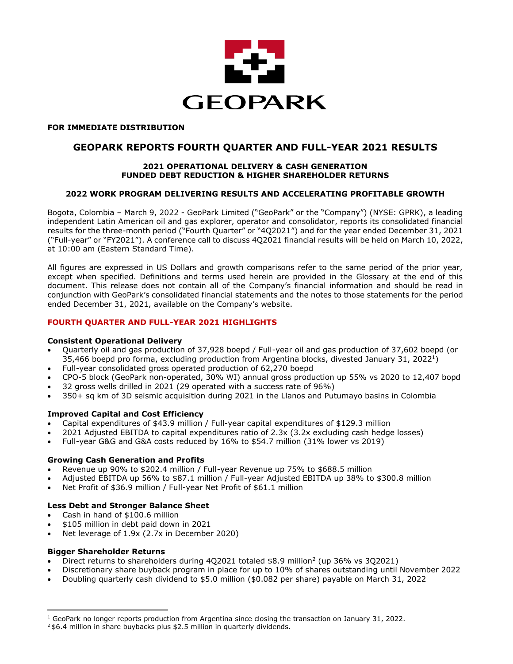

# **FOR IMMEDIATE DISTRIBUTION**

# **GEOPARK REPORTS FOURTH QUARTER AND FULL-YEAR 2021 RESULTS**

# **2021 OPERATIONAL DELIVERY & CASH GENERATION FUNDED DEBT REDUCTION & HIGHER SHAREHOLDER RETURNS**

# **2022 WORK PROGRAM DELIVERING RESULTS AND ACCELERATING PROFITABLE GROWTH**

Bogota, Colombia – March 9, 2022 - GeoPark Limited ("GeoPark" or the "Company") (NYSE: GPRK), a leading independent Latin American oil and gas explorer, operator and consolidator, reports its consolidated financial results for the three-month period ("Fourth Quarter" or "4Q2021") and for the year ended December 31, 2021 ("Full-year" or "FY2021"). A conference call to discuss 4Q2021 financial results will be held on March 10, 2022, at 10:00 am (Eastern Standard Time).

All figures are expressed in US Dollars and growth comparisons refer to the same period of the prior year, except when specified. Definitions and terms used herein are provided in the Glossary at the end of this document. This release does not contain all of the Company's financial information and should be read in conjunction with GeoPark's consolidated financial statements and the notes to those statements for the period ended December 31, 2021, available on the Company's website.

## **FOURTH QUARTER AND FULL-YEAR 2021 HIGHLIGHTS**

#### **Consistent Operational Delivery**

- Quarterly oil and gas production of 37,928 boepd / Full-year oil and gas production of 37,602 boepd (or 35,466 boepd pro forma, excluding production from Argentina blocks, divested January 31, 2022<sup>1</sup>)
- Full-year consolidated gross operated production of 62,270 boepd
- CPO-5 block (GeoPark non-operated, 30% WI) annual gross production up 55% vs 2020 to 12,407 bopd
- 32 gross wells drilled in 2021 (29 operated with a success rate of 96%)
- 350+ sq km of 3D seismic acquisition during 2021 in the Llanos and Putumayo basins in Colombia

# **Improved Capital and Cost Efficiency**

- Capital expenditures of \$43.9 million / Full-year capital expenditures of \$129.3 million
- 2021 Adjusted EBITDA to capital expenditures ratio of 2.3x (3.2x excluding cash hedge losses)
- Full-year G&G and G&A costs reduced by 16% to \$54.7 million (31% lower vs 2019)

#### **Growing Cash Generation and Profits**

- Revenue up 90% to \$202.4 million / Full-year Revenue up 75% to \$688.5 million
- Adjusted EBITDA up 56% to \$87.1 million / Full-year Adjusted EBITDA up 38% to \$300.8 million
- Net Profit of \$36.9 million / Full-year Net Profit of \$61.1 million

#### **Less Debt and Stronger Balance Sheet**

- Cash in hand of \$100.6 million
- \$105 million in debt paid down in 2021
- Net leverage of 1.9x (2.7x in December 2020)

#### **Bigger Shareholder Returns**

- Direct returns to shareholders during 4Q2021 totaled \$8.9 million<sup>2</sup> (up 36% vs 3Q2021)
- Discretionary share buyback program in place for up to 10% of shares outstanding until November 2022
- Doubling quarterly cash dividend to \$5.0 million (\$0.082 per share) payable on March 31, 2022

 $1$  GeoPark no longer reports production from Argentina since closing the transaction on January 31, 2022.

<sup>2</sup> \$6.4 million in share buybacks plus \$2.5 million in quarterly dividends.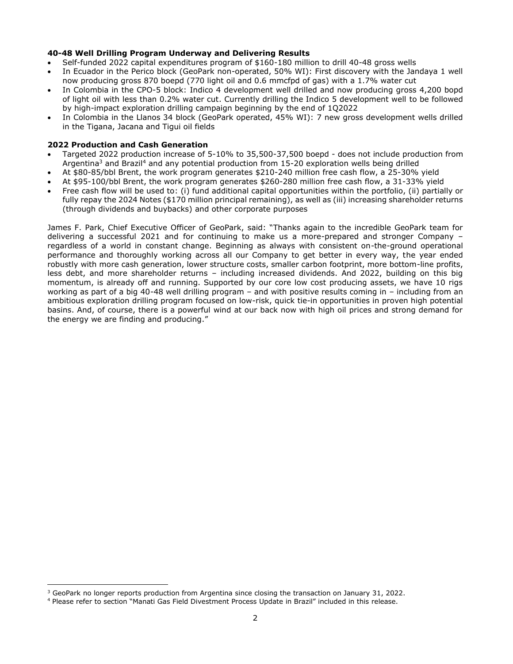# **40-48 Well Drilling Program Underway and Delivering Results**

- Self-funded 2022 capital expenditures program of \$160-180 million to drill 40-48 gross wells
- In Ecuador in the Perico block (GeoPark non-operated, 50% WI): First discovery with the Jandaya 1 well now producing gross 870 boepd (770 light oil and 0.6 mmcfpd of gas) with a 1.7% water cut
- In Colombia in the CPO-5 block: Indico 4 development well drilled and now producing gross 4,200 bopd of light oil with less than 0.2% water cut. Currently drilling the Indico 5 development well to be followed by high-impact exploration drilling campaign beginning by the end of 1Q2022
- In Colombia in the Llanos 34 block (GeoPark operated, 45% WI): 7 new gross development wells drilled in the Tigana, Jacana and Tigui oil fields

## **2022 Production and Cash Generation**

- Targeted 2022 production increase of 5-10% to 35,500-37,500 boepd does not include production from Argentina<sup>3</sup> and Brazil<sup>4</sup> and any potential production from 15-20 exploration wells being drilled
- At \$80-85/bbl Brent, the work program generates \$210-240 million free cash flow, a 25-30% yield
- At \$95-100/bbl Brent, the work program generates \$260-280 million free cash flow, a 31-33% yield
- Free cash flow will be used to: (i) fund additional capital opportunities within the portfolio, (ii) partially or fully repay the 2024 Notes (\$170 million principal remaining), as well as (iii) increasing shareholder returns (through dividends and buybacks) and other corporate purposes

James F. Park, Chief Executive Officer of GeoPark, said: "Thanks again to the incredible GeoPark team for delivering a successful 2021 and for continuing to make us a more-prepared and stronger Company – regardless of a world in constant change. Beginning as always with consistent on-the-ground operational performance and thoroughly working across all our Company to get better in every way, the year ended robustly with more cash generation, lower structure costs, smaller carbon footprint, more bottom-line profits, less debt, and more shareholder returns – including increased dividends. And 2022, building on this big momentum, is already off and running. Supported by our core low cost producing assets, we have 10 rigs working as part of a big 40-48 well drilling program – and with positive results coming in – including from an ambitious exploration drilling program focused on low-risk, quick tie-in opportunities in proven high potential basins. And, of course, there is a powerful wind at our back now with high oil prices and strong demand for the energy we are finding and producing."

 $3$  GeoPark no longer reports production from Argentina since closing the transaction on January 31, 2022.

<sup>4</sup> Please refer to section "Manati Gas Field Divestment Process Update in Brazil" included in this release.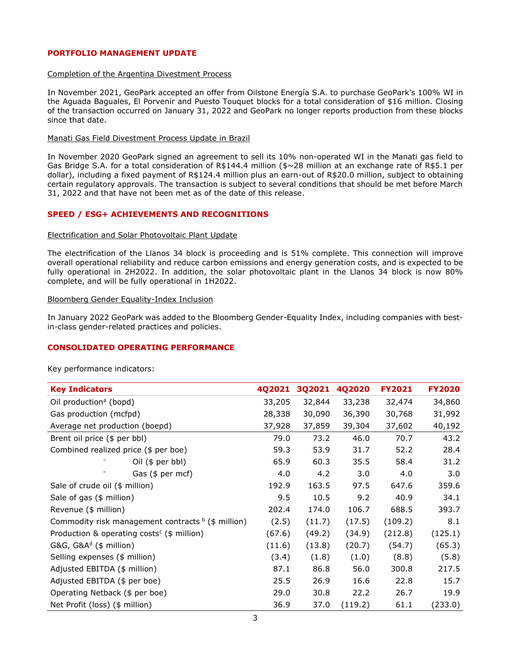# **PORTFOLIO MANAGEMENT UPDATE**

### Completion of the Argentina Divestment Process

In November 2021, GeoPark accepted an offer from Oilstone Energía S.A. to purchase GeoPark's 100% WI in the Aguada Baguales, El Porvenir and Puesto Touquet blocks for a total consideration of \$16 million. Closing of the transaction occurred on January 31, 2022 and GeoPark no longer reports production from these blocks since that date.

## Manati Gas Field Divestment Process Update in Brazil

In November 2020 GeoPark signed an agreement to sell its 10% non-operated WI in the Manati gas field to Gas Bridge S.A. for a total consideration of R\$144.4 million (\$~28 million at an exchange rate of R\$5.1 per dollar), including a fixed payment of R\$124.4 million plus an earn-out of R\$20.0 million, subject to obtaining certain regulatory approvals. The transaction is subject to several conditions that should be met before March 31, 2022 and that have not been met as of the date of this release.

## **SPEED / ESG+ ACHIEVEMENTS AND RECOGNITIONS**

### Electrification and Solar Photovoltaic Plant Update

The electrification of the Llanos 34 block is proceeding and is 51% complete. This connection will improve overall operational reliability and reduce carbon emissions and energy generation costs, and is expected to be fully operational in 2H2022. In addition, the solar photovoltaic plant in the Llanos 34 block is now 80% complete, and will be fully operational in 1H2022.

## Bloomberg Gender Equality-Index Inclusion

In January 2022 GeoPark was added to the Bloomberg Gender-Equality Index, including companies with bestin-class gender-related practices and policies.

# **CONSOLIDATED OPERATING PERFORMANCE**

Key performance indicators:

| <b>Key Indicators</b>                                  | 4Q2021 | 3Q2021 | <b>4Q2020</b> | <b>FY2021</b> | <b>FY2020</b> |
|--------------------------------------------------------|--------|--------|---------------|---------------|---------------|
| Oil production <sup>a</sup> (bopd)                     | 33,205 | 32,844 | 33,238        | 32,474        | 34,860        |
| Gas production (mcfpd)                                 | 28,338 | 30,090 | 36,390        | 30,768        | 31,992        |
| Average net production (boepd)                         | 37,928 | 37,859 | 39,304        | 37,602        | 40,192        |
| Brent oil price (\$ per bbl)                           | 79.0   | 73.2   | 46.0          | 70.7          | 43.2          |
| Combined realized price (\$ per boe)                   | 59.3   | 53.9   | 31.7          | 52.2          | 28.4          |
| Oil $($ per bb)$                                       | 65.9   | 60.3   | 35.5          | 58.4          | 31.2          |
| Gas $($$ per mcf)                                      | 4.0    | 4.2    | 3.0           | 4.0           | 3.0           |
| Sale of crude oil (\$ million)                         | 192.9  | 163.5  | 97.5          | 647.6         | 359.6         |
| Sale of gas (\$ million)                               | 9.5    | 10.5   | 9.2           | 40.9          | 34.1          |
| Revenue (\$ million)                                   | 202.4  | 174.0  | 106.7         | 688.5         | 393.7         |
| Commodity risk management contracts b (\$ million)     | (2.5)  | (11.7) | (17.5)        | (109.2)       | 8.1           |
| Production & operating costs <sup>c</sup> (\$ million) | (67.6) | (49.2) | (34.9)        | (212.8)       | (125.1)       |
| $G&G, G&Ad$ (\$ million)                               | (11.6) | (13.8) | (20.7)        | (54.7)        | (65.3)        |
| Selling expenses (\$ million)                          | (3.4)  | (1.8)  | (1.0)         | (8.8)         | (5.8)         |
| Adjusted EBITDA (\$ million)                           | 87.1   | 86.8   | 56.0          | 300.8         | 217.5         |
| Adjusted EBITDA (\$ per boe)                           | 25.5   | 26.9   | 16.6          | 22.8          | 15.7          |
| Operating Netback (\$ per boe)                         | 29.0   | 30.8   | 22.2          | 26.7          | 19.9          |
| Net Profit (loss) (\$ million)                         | 36.9   | 37.0   | (119.2)       | 61.1          | (233.0)       |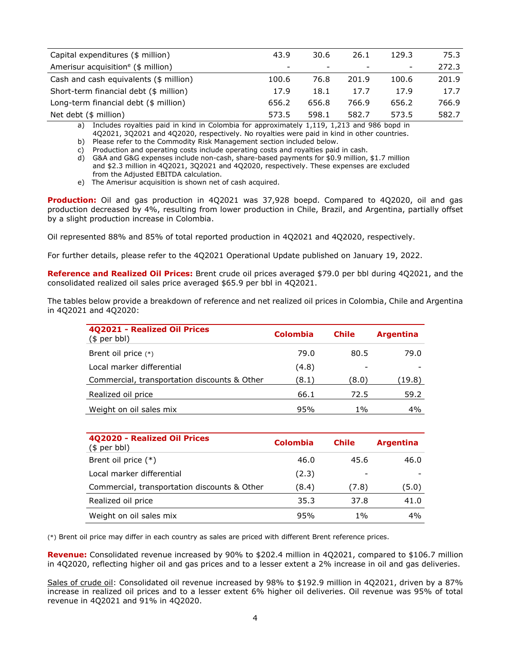| Capital expenditures (\$ million)              | 43.9                     | 30.6                     | 26.1                     | 129.3                    | 75.3  |
|------------------------------------------------|--------------------------|--------------------------|--------------------------|--------------------------|-------|
| Amerisur acquisition <sup>e</sup> (\$ million) | $\overline{\phantom{0}}$ | $\overline{\phantom{a}}$ | $\overline{\phantom{a}}$ | $\overline{\phantom{a}}$ | 272.3 |
| Cash and cash equivalents (\$ million)         | 100.6                    | 76.8                     | 201.9                    | 100.6                    | 201.9 |
| Short-term financial debt (\$ million)         | 17.9                     | 18.1                     | 17.7                     | 17.9                     | 17.7  |
| Long-term financial debt (\$ million)          | 656.2                    | 656.8                    | 766.9                    | 656.2                    | 766.9 |
| Net debt (\$ million)                          | 573.5                    | 598.1                    | 582.7                    | 573.5                    | 582.7 |

a) Includes royalties paid in kind in Colombia for approximately 1,119, 1,213 and 986 bopd in 4Q2021, 3Q2021 and 4Q2020, respectively. No royalties were paid in kind in other countries.

b) Please refer to the Commodity Risk Management section included below.

c) Production and operating costs include operating costs and royalties paid in cash.

- d) G&A and G&G expenses include non-cash, share-based payments for \$0.9 million, \$1.7 million and \$2.3 million in 4Q2021, 3Q2021 and 4Q2020, respectively. These expenses are excluded from the Adjusted EBITDA calculation.
- e) The Amerisur acquisition is shown net of cash acquired.

**Production:** Oil and gas production in 4Q2021 was 37,928 boepd. Compared to 4Q2020, oil and gas production decreased by 4%, resulting from lower production in Chile, Brazil, and Argentina, partially offset by a slight production increase in Colombia.

Oil represented 88% and 85% of total reported production in 4Q2021 and 4Q2020, respectively.

For further details, please refer to the 4Q2021 Operational Update published on January 19, 2022.

**Reference and Realized Oil Prices:** Brent crude oil prices averaged \$79.0 per bbl during 4Q2021, and the consolidated realized oil sales price averaged \$65.9 per bbl in 4Q2021.

The tables below provide a breakdown of reference and net realized oil prices in Colombia, Chile and Argentina in 4Q2021 and 4Q2020:

| 4Q2021 - Realized Oil Prices<br>(\$ per bb)  | <b>Colombia</b> | <b>Chile</b> | <b>Argentina</b> |
|----------------------------------------------|-----------------|--------------|------------------|
| Brent oil price (*)                          | 79.0            | 80.5         | 79.0             |
| Local marker differential                    | (4.8)           |              |                  |
| Commercial, transportation discounts & Other | (8.1)           | (8.0)        | (19.8)           |
| Realized oil price                           | 66.1            | 72.5         | 59.2             |
| Weight on oil sales mix                      | 95%             | $1\%$        | 4%               |

| 4Q2020 - Realized Oil Prices<br>(\$ per bb)  | <b>Colombia</b> | <b>Chile</b> | <b>Argentina</b> |
|----------------------------------------------|-----------------|--------------|------------------|
| Brent oil price $(*)$                        | 46.0            | 45.6         | 46.0             |
| Local marker differential                    | (2.3)           |              |                  |
| Commercial, transportation discounts & Other | (8.4)           | (7.8)        | (5.0)            |
| Realized oil price                           | 35.3            | 37.8         | 41.0             |
| Weight on oil sales mix                      | 95%             | $1\%$        | 4%               |

(\*) Brent oil price may differ in each country as sales are priced with different Brent reference prices.

**Revenue:** Consolidated revenue increased by 90% to \$202.4 million in 4Q2021, compared to \$106.7 million in 4Q2020, reflecting higher oil and gas prices and to a lesser extent a 2% increase in oil and gas deliveries.

Sales of crude oil: Consolidated oil revenue increased by 98% to \$192.9 million in 4Q2021, driven by a 87% increase in realized oil prices and to a lesser extent 6% higher oil deliveries. Oil revenue was 95% of total revenue in 4Q2021 and 91% in 4Q2020.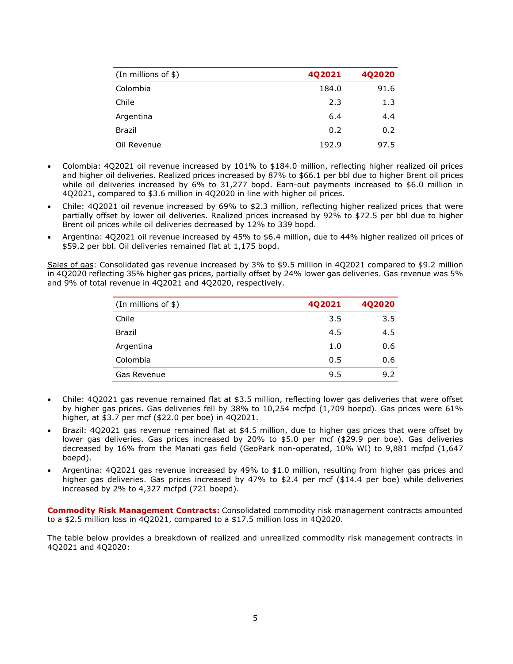| $(In$ millions of \$) | 4Q2021 | 402020 |
|-----------------------|--------|--------|
| Colombia              | 184.0  | 91.6   |
| Chile                 | 2.3    | 1.3    |
| Argentina             | 6.4    | 4.4    |
| <b>Brazil</b>         | 0.2    | 0.2    |
| Oil Revenue           | 192.9  | 97.5   |

- Colombia: 4Q2021 oil revenue increased by 101% to \$184.0 million, reflecting higher realized oil prices and higher oil deliveries. Realized prices increased by 87% to \$66.1 per bbl due to higher Brent oil prices while oil deliveries increased by 6% to 31,277 bopd. Earn-out payments increased to \$6.0 million in 4Q2021, compared to \$3.6 million in 4Q2020 in line with higher oil prices.
- Chile: 4Q2021 oil revenue increased by 69% to \$2.3 million, reflecting higher realized prices that were partially offset by lower oil deliveries. Realized prices increased by 92% to \$72.5 per bbl due to higher Brent oil prices while oil deliveries decreased by 12% to 339 bopd.
- Argentina: 4Q2021 oil revenue increased by 45% to \$6.4 million, due to 44% higher realized oil prices of \$59.2 per bbl. Oil deliveries remained flat at 1,175 bopd.

Sales of gas: Consolidated gas revenue increased by 3% to \$9.5 million in 4Q2021 compared to \$9.2 million in 4Q2020 reflecting 35% higher gas prices, partially offset by 24% lower gas deliveries. Gas revenue was 5% and 9% of total revenue in 4Q2021 and 4Q2020, respectively.

| $(In$ millions of \$) | 4Q2021 | 4Q2020 |
|-----------------------|--------|--------|
| Chile                 | 3.5    | 3.5    |
| <b>Brazil</b>         | 4.5    | 4.5    |
| Argentina             | 1.0    | 0.6    |
| Colombia              | 0.5    | 0.6    |
| Gas Revenue           | 9.5    | 9.2    |

- Chile: 4Q2021 gas revenue remained flat at \$3.5 million, reflecting lower gas deliveries that were offset by higher gas prices. Gas deliveries fell by 38% to 10,254 mcfpd (1,709 boepd). Gas prices were 61% higher, at \$3.7 per mcf (\$22.0 per boe) in 4Q2021.
- Brazil: 4Q2021 gas revenue remained flat at \$4.5 million, due to higher gas prices that were offset by lower gas deliveries. Gas prices increased by 20% to \$5.0 per mcf (\$29.9 per boe). Gas deliveries decreased by 16% from the Manati gas field (GeoPark non-operated, 10% WI) to 9,881 mcfpd (1,647 boepd).
- Argentina: 4Q2021 gas revenue increased by 49% to \$1.0 million, resulting from higher gas prices and higher gas deliveries. Gas prices increased by 47% to \$2.4 per mcf (\$14.4 per boe) while deliveries increased by 2% to 4,327 mcfpd (721 boepd).

**Commodity Risk Management Contracts:** Consolidated commodity risk management contracts amounted to a \$2.5 million loss in 4Q2021, compared to a \$17.5 million loss in 4Q2020.

The table below provides a breakdown of realized and unrealized commodity risk management contracts in 4Q2021 and 4Q2020: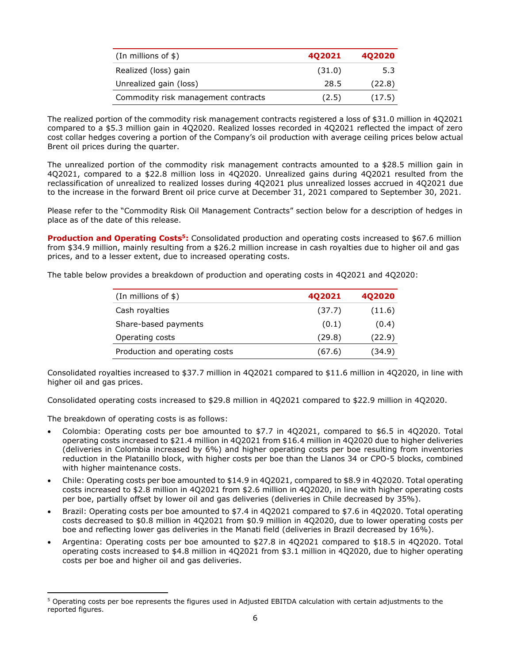| $(In$ millions of \$)               | 402021 | 402020 |
|-------------------------------------|--------|--------|
| Realized (loss) gain                | (31.0) | 5.3    |
| Unrealized gain (loss)              | 28.5   | (22.8) |
| Commodity risk management contracts | (2.5)  | (17.5) |

The realized portion of the commodity risk management contracts registered a loss of \$31.0 million in 4Q2021 compared to a \$5.3 million gain in 4Q2020. Realized losses recorded in 4Q2021 reflected the impact of zero cost collar hedges covering a portion of the Company's oil production with average ceiling prices below actual Brent oil prices during the quarter.

The unrealized portion of the commodity risk management contracts amounted to a \$28.5 million gain in 4Q2021, compared to a \$22.8 million loss in 4Q2020. Unrealized gains during 4Q2021 resulted from the reclassification of unrealized to realized losses during 4Q2021 plus unrealized losses accrued in 4Q2021 due to the increase in the forward Brent oil price curve at December 31, 2021 compared to September 30, 2021.

Please refer to the "Commodity Risk Oil Management Contracts" section below for a description of hedges in place as of the date of this release.

**Production and Operating Costs<sup>5</sup>:** Consolidated production and operating costs increased to \$67.6 million from \$34.9 million, mainly resulting from a \$26.2 million increase in cash royalties due to higher oil and gas prices, and to a lesser extent, due to increased operating costs.

The table below provides a breakdown of production and operating costs in 4Q2021 and 4Q2020:

| $(In$ millions of $$)$         | 4Q2021 | 4Q2020 |
|--------------------------------|--------|--------|
| Cash royalties                 | (37.7) | (11.6) |
| Share-based payments           | (0.1)  | (0.4)  |
| Operating costs                | (29.8) | (22.9) |
| Production and operating costs | (67.6) | (34.9) |

Consolidated royalties increased to \$37.7 million in 4Q2021 compared to \$11.6 million in 4Q2020, in line with higher oil and gas prices.

Consolidated operating costs increased to \$29.8 million in 4Q2021 compared to \$22.9 million in 4Q2020.

The breakdown of operating costs is as follows:

- Colombia: Operating costs per boe amounted to \$7.7 in 4Q2021, compared to \$6.5 in 4Q2020. Total operating costs increased to \$21.4 million in 4Q2021 from \$16.4 million in 4Q2020 due to higher deliveries (deliveries in Colombia increased by 6%) and higher operating costs per boe resulting from inventories reduction in the Platanillo block, with higher costs per boe than the Llanos 34 or CPO-5 blocks, combined with higher maintenance costs.
- Chile: Operating costs per boe amounted to \$14.9 in 4Q2021, compared to \$8.9 in 4Q2020. Total operating costs increased to \$2.8 million in 4Q2021 from \$2.6 million in 4Q2020, in line with higher operating costs per boe, partially offset by lower oil and gas deliveries (deliveries in Chile decreased by 35%).
- Brazil: Operating costs per boe amounted to \$7.4 in 4Q2021 compared to \$7.6 in 4Q2020. Total operating costs decreased to \$0.8 million in 4Q2021 from \$0.9 million in 4Q2020, due to lower operating costs per boe and reflecting lower gas deliveries in the Manati field (deliveries in Brazil decreased by 16%).
- Argentina: Operating costs per boe amounted to \$27.8 in 4Q2021 compared to \$18.5 in 4Q2020. Total operating costs increased to \$4.8 million in 4Q2021 from \$3.1 million in 4Q2020, due to higher operating costs per boe and higher oil and gas deliveries.

 $5$  Operating costs per boe represents the figures used in Adjusted EBITDA calculation with certain adjustments to the reported figures.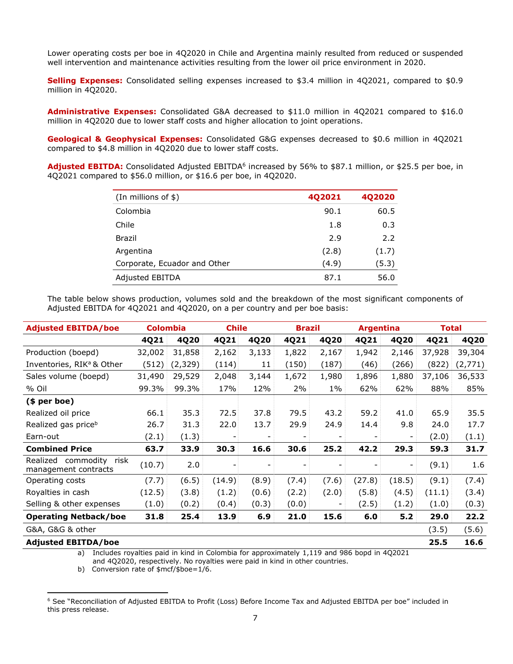Lower operating costs per boe in 4Q2020 in Chile and Argentina mainly resulted from reduced or suspended well intervention and maintenance activities resulting from the lower oil price environment in 2020.

**Selling Expenses:** Consolidated selling expenses increased to \$3.4 million in 4Q2021, compared to \$0.9 million in 4Q2020.

**Administrative Expenses:** Consolidated G&A decreased to \$11.0 million in 4Q2021 compared to \$16.0 million in 4Q2020 due to lower staff costs and higher allocation to joint operations.

**Geological & Geophysical Expenses:** Consolidated G&G expenses decreased to \$0.6 million in 4Q2021 compared to \$4.8 million in 4Q2020 due to lower staff costs.

Adjusted EBITDA: Consolidated Adjusted EBITDA<sup>6</sup> increased by 56% to \$87.1 million, or \$25.5 per boe, in 4Q2021 compared to \$56.0 million, or \$16.6 per boe, in 4Q2020.

| (In millions of $$$ )        | 402021 | 4Q2020 |
|------------------------------|--------|--------|
| Colombia                     | 90.1   | 60.5   |
| Chile                        | 1.8    | 0.3    |
| Brazil                       | 2.9    | 2.2    |
| Argentina                    | (2.8)  | (1.7)  |
| Corporate, Ecuador and Other | (4.9)  | (5.3)  |
| <b>Adjusted EBITDA</b>       | 87.1   | 56.0   |

The table below shows production, volumes sold and the breakdown of the most significant components of Adjusted EBITDA for 4Q2021 and 4Q2020, on a per country and per boe basis:

| <b>Adjusted EBITDA/boe</b>                            | <b>Colombia</b> |         | <b>Chile</b> |       | <b>Brazil</b> |                          | <b>Argentina</b> |                          | <b>Total</b> |         |
|-------------------------------------------------------|-----------------|---------|--------------|-------|---------------|--------------------------|------------------|--------------------------|--------------|---------|
|                                                       | 4Q21            | 4Q20    | 4Q21         | 4Q20  | 4Q21          | 4Q20                     | 4Q21             | 4Q20                     | 4Q21         | 4Q20    |
| Production (boepd)                                    | 32,002          | 31,858  | 2,162        | 3,133 | 1,822         | 2,167                    | 1,942            | 2,146                    | 37,928       | 39,304  |
| Inventories, RIK <sup>a</sup> & Other                 | (512)           | (2,329) | (114)        | 11    | (150)         | (187)                    | (46)             | (266)                    | (822)        | (2,771) |
| Sales volume (boepd)                                  | 31,490          | 29,529  | 2,048        | 3,144 | 1,672         | 1,980                    | 1,896            | 1,880                    | 37,106       | 36,533  |
| % Oil                                                 | 99.3%           | 99.3%   | 17%          | 12%   | 2%            | $1\%$                    | 62%              | 62%                      | 88%          | 85%     |
| (\$ per boe)                                          |                 |         |              |       |               |                          |                  |                          |              |         |
| Realized oil price                                    | 66.1            | 35.3    | 72.5         | 37.8  | 79.5          | 43.2                     | 59.2             | 41.0                     | 65.9         | 35.5    |
| Realized gas price <sup>b</sup>                       | 26.7            | 31.3    | 22.0         | 13.7  | 29.9          | 24.9                     | 14.4             | 9.8                      | 24.0         | 17.7    |
| Earn-out                                              | (2.1)           | (1.3)   |              |       |               |                          |                  |                          | (2.0)        | (1.1)   |
| <b>Combined Price</b>                                 | 63.7            | 33.9    | 30.3         | 16.6  | 30.6          | 25.2                     | 42.2             | 29.3                     | 59.3         | 31.7    |
| Realized<br>commodity<br>risk<br>management contracts | (10.7)          | 2.0     |              |       |               |                          |                  | $\overline{\phantom{a}}$ | (9.1)        | 1.6     |
| Operating costs                                       | (7.7)           | (6.5)   | (14.9)       | (8.9) | (7.4)         | (7.6)                    | (27.8)           | (18.5)                   | (9.1)        | (7.4)   |
| Royalties in cash                                     | (12.5)          | (3.8)   | (1.2)        | (0.6) | (2.2)         | (2.0)                    | (5.8)            | (4.5)                    | (11.1)       | (3.4)   |
| Selling & other expenses                              | (1.0)           | (0.2)   | (0.4)        | (0.3) | (0.0)         | $\overline{\phantom{a}}$ | (2.5)            | (1.2)                    | (1.0)        | (0.3)   |
| <b>Operating Netback/boe</b>                          | 31.8            | 25.4    | 13.9         | 6.9   | 21.0          | 15.6                     | 6.0              | 5.2                      | 29.0         | 22.2    |
| G&A, G&G & other                                      |                 |         |              |       |               |                          |                  |                          | (3.5)        | (5.6)   |
| <b>Adjusted EBITDA/boe</b>                            |                 |         |              |       |               |                          |                  |                          | 25.5         | 16.6    |

a) Includes royalties paid in kind in Colombia for approximately 1,119 and 986 bopd in 4Q2021 and 4Q2020, respectively. No royalties were paid in kind in other countries.

b) Conversion rate of  $\frac{\text{smcf}}{\text{sboe}=1/6}$ .

<sup>6</sup> See "Reconciliation of Adjusted EBITDA to Profit (Loss) Before Income Tax and Adjusted EBITDA per boe" included in this press release.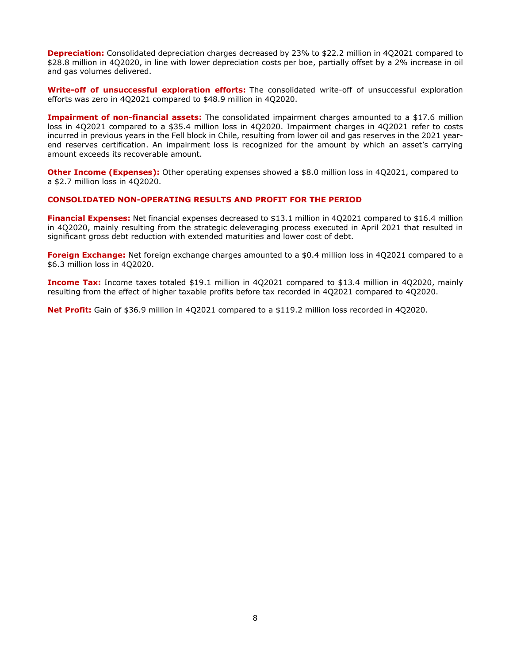**Depreciation:** Consolidated depreciation charges decreased by 23% to \$22.2 million in 4Q2021 compared to \$28.8 million in 4Q2020, in line with lower depreciation costs per boe, partially offset by a 2% increase in oil and gas volumes delivered.

**Write-off of unsuccessful exploration efforts:** The consolidated write-off of unsuccessful exploration efforts was zero in 4Q2021 compared to \$48.9 million in 4Q2020.

**Impairment of non-financial assets:** The consolidated impairment charges amounted to a \$17.6 million loss in 4Q2021 compared to a \$35.4 million loss in 4Q2020. Impairment charges in 4Q2021 refer to costs incurred in previous years in the Fell block in Chile, resulting from lower oil and gas reserves in the 2021 yearend reserves certification. An impairment loss is recognized for the amount by which an asset's carrying amount exceeds its recoverable amount.

**Other Income (Expenses):** Other operating expenses showed a \$8.0 million loss in 4Q2021, compared to a \$2.7 million loss in 4Q2020.

#### **CONSOLIDATED NON-OPERATING RESULTS AND PROFIT FOR THE PERIOD**

**Financial Expenses:** Net financial expenses decreased to \$13.1 million in 4Q2021 compared to \$16.4 million in 4Q2020, mainly resulting from the strategic deleveraging process executed in April 2021 that resulted in significant gross debt reduction with extended maturities and lower cost of debt.

**Foreign Exchange:** Net foreign exchange charges amounted to a \$0.4 million loss in 4Q2021 compared to a \$6.3 million loss in 4Q2020.

**Income Tax:** Income taxes totaled \$19.1 million in 4Q2021 compared to \$13.4 million in 4Q2020, mainly resulting from the effect of higher taxable profits before tax recorded in 4Q2021 compared to 4Q2020.

**Net Profit:** Gain of \$36.9 million in 402021 compared to a \$119.2 million loss recorded in 402020.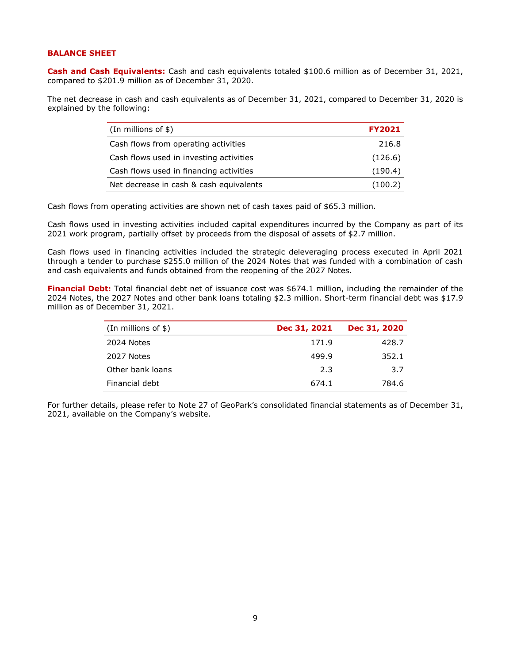# **BALANCE SHEET**

**Cash and Cash Equivalents:** Cash and cash equivalents totaled \$100.6 million as of December 31, 2021, compared to \$201.9 million as of December 31, 2020.

The net decrease in cash and cash equivalents as of December 31, 2021, compared to December 31, 2020 is explained by the following:

| $(In$ millions of \$)                   | <b>FY2021</b> |
|-----------------------------------------|---------------|
| Cash flows from operating activities    | 216.8         |
| Cash flows used in investing activities | (126.6)       |
| Cash flows used in financing activities | (190.4)       |
| Net decrease in cash & cash equivalents | (100.2)       |

Cash flows from operating activities are shown net of cash taxes paid of \$65.3 million.

Cash flows used in investing activities included capital expenditures incurred by the Company as part of its 2021 work program, partially offset by proceeds from the disposal of assets of \$2.7 million.

Cash flows used in financing activities included the strategic deleveraging process executed in April 2021 through a tender to purchase \$255.0 million of the 2024 Notes that was funded with a combination of cash and cash equivalents and funds obtained from the reopening of the 2027 Notes.

**Financial Debt:** Total financial debt net of issuance cost was \$674.1 million, including the remainder of the 2024 Notes, the 2027 Notes and other bank loans totaling \$2.3 million. Short-term financial debt was \$17.9 million as of December 31, 2021.

| (In millions of $$$ ) | Dec 31, 2021 | Dec 31, 2020 |
|-----------------------|--------------|--------------|
| 2024 Notes            | 171.9        | 428.7        |
| 2027 Notes            | 499.9        | 352.1        |
| Other bank loans      | 2.3          | 3.7          |
| Financial debt        | 674.1        | 784.6        |

For further details, please refer to Note 27 of GeoPark's consolidated financial statements as of December 31, 2021, available on the Company's website.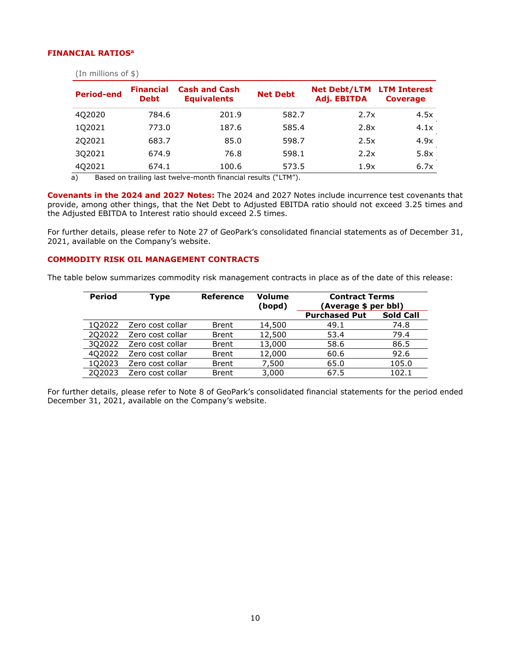### **FINANCIAL RATIOS<sup>a</sup>**

| <b>Period-end</b> | <b>Financial</b><br><b>Debt</b> | <b>Cash and Cash</b><br><b>Equivalents</b>                                        | <b>Net Debt</b> | <b>Net Debt/LTM LTM Interest</b><br>Adj. EBITDA | <b>Coverage</b> |
|-------------------|---------------------------------|-----------------------------------------------------------------------------------|-----------------|-------------------------------------------------|-----------------|
| 4Q2020            | 784.6                           | 201.9                                                                             | 582.7           | 2.7x                                            | 4.5x            |
| 1Q2021            | 773.0                           | 187.6                                                                             | 585.4           | 2.8x                                            | 4.1x            |
| 2Q2021            | 683.7                           | 85.0                                                                              | 598.7           | 2.5x                                            | 4.9x            |
| 3Q2021            | 674.9                           | 76.8                                                                              | 598.1           | 2.2x                                            | 5.8x            |
| 4Q2021<br>$\sim$  | 674.1                           | 100.6<br>Depart on the floor lead to do in a coath floor and the college (NLTM/I) | 573.5           | 1.9x                                            | 6.7x            |

(In millions of \$)

a) Based on trailing last twelve-month financial results ("LTM").

**Covenants in the 2024 and 2027 Notes:** The 2024 and 2027 Notes include incurrence test covenants that provide, among other things, that the Net Debt to Adjusted EBITDA ratio should not exceed 3.25 times and the Adjusted EBITDA to Interest ratio should exceed 2.5 times.

For further details, please refer to Note 27 of GeoPark's consolidated financial statements as of December 31, 2021, available on the Company's website.

# **COMMODITY RISK OIL MANAGEMENT CONTRACTS**

The table below summarizes commodity risk management contracts in place as of the date of this release:

| <b>Period</b> | Type             | <b>Reference</b> | Volume<br>(bopd) | <b>Contract Terms</b><br>(Average \$ per bbl) |                  |
|---------------|------------------|------------------|------------------|-----------------------------------------------|------------------|
|               |                  |                  |                  | <b>Purchased Put</b>                          | <b>Sold Call</b> |
| 102022        | Zero cost collar | <b>Brent</b>     | 14,500           | 49.1                                          | 74.8             |
| 202022        | Zero cost collar | <b>Brent</b>     | 12,500           | 53.4                                          | 79.4             |
| 3Q2022        | Zero cost collar | <b>Brent</b>     | 13,000           | 58.6                                          | 86.5             |
| 4Q2022        | Zero cost collar | <b>Brent</b>     | 12,000           | 60.6                                          | 92.6             |
| 102023        | Zero cost collar | <b>Brent</b>     | 7,500            | 65.0                                          | 105.0            |
| 202023        | Zero cost collar | <b>Brent</b>     | 3,000            | 67.5                                          | 102.1            |

For further details, please refer to Note 8 of GeoPark's consolidated financial statements for the period ended December 31, 2021, available on the Company's website.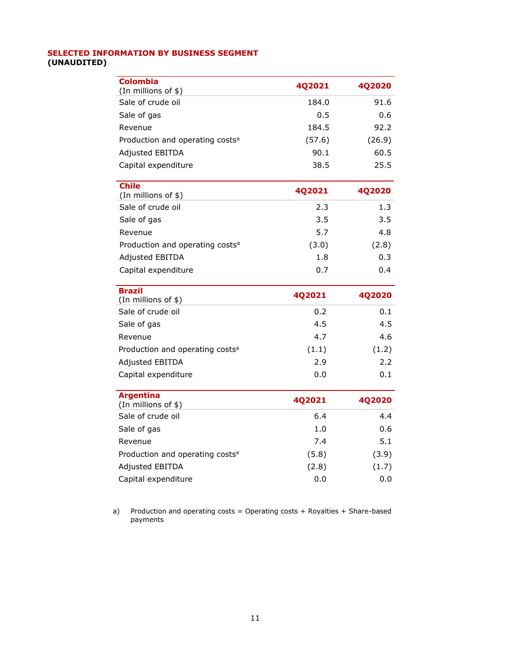# **SELECTED INFORMATION BY BUSINESS SEGMENT (UNAUDITED)**

a) Production and operating costs = Operating costs + Royalties + Share-based payments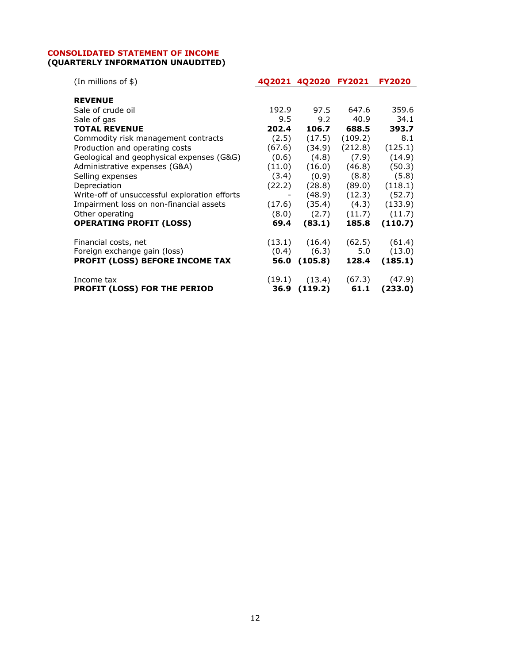### **CONSOLIDATED STATEMENT OF INCOME (QUARTERLY INFORMATION UNAUDITED)**

| $(In$ millions of $$)$                        | 402021                   | 402020  | <b>FY2021</b> | <b>FY2020</b> |
|-----------------------------------------------|--------------------------|---------|---------------|---------------|
| <b>REVENUE</b>                                |                          |         |               |               |
| Sale of crude oil                             | 192.9                    | 97.5    | 647.6         | 359.6         |
| Sale of gas                                   | 9.5                      | 9.2     | 40.9          | 34.1          |
| <b>TOTAL REVENUE</b>                          | 202.4                    | 106.7   | 688.5         | 393.7         |
| Commodity risk management contracts           | (2.5)                    | (17.5)  | (109.2)       | 8.1           |
| Production and operating costs                | (67.6)                   | (34.9)  | (212.8)       | (125.1)       |
| Geological and geophysical expenses (G&G)     | (0.6)                    | (4.8)   | (7.9)         | (14.9)        |
| Administrative expenses (G&A)                 | (11.0)                   | (16.0)  | (46.8)        | (50.3)        |
| Selling expenses                              | (3.4)                    | (0.9)   | (8.8)         | (5.8)         |
| Depreciation                                  | (22.2)                   | (28.8)  | (89.0)        | (118.1)       |
| Write-off of unsuccessful exploration efforts | $\overline{\phantom{a}}$ | (48.9)  | (12.3)        | (52.7)        |
| Impairment loss on non-financial assets       | (17.6)                   | (35.4)  | (4.3)         | (133.9)       |
| Other operating                               | (8.0)                    | (2.7)   | (11.7)        | (11.7)        |
| <b>OPERATING PROFIT (LOSS)</b>                | 69.4                     | (83.1)  | 185.8         | (110.7)       |
| Financial costs, net                          | (13.1)                   | (16.4)  | (62.5)        | (61.4)        |
| Foreign exchange gain (loss)                  | (0.4)                    | (6.3)   | 5.0           | (13.0)        |
| PROFIT (LOSS) BEFORE INCOME TAX               | 56.0                     | (105.8) | 128.4         | (185.1)       |
| Income tax                                    | (19.1)                   | (13.4)  | (67.3)        | (47.9)        |
| <b>PROFIT (LOSS) FOR THE PERIOD</b>           | 36.9                     | (119.2) | 61.1          | (233.0)       |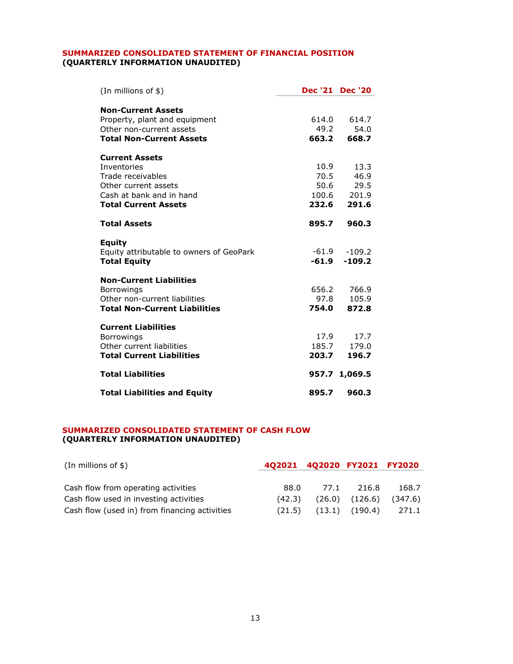# **SUMMARIZED CONSOLIDATED STATEMENT OF FINANCIAL POSITION (QUARTERLY INFORMATION UNAUDITED)**

| (In millions of $$$ )                                                                                                                               | Dec '21 Dec '20                        |                                        |
|-----------------------------------------------------------------------------------------------------------------------------------------------------|----------------------------------------|----------------------------------------|
| <b>Non-Current Assets</b><br>Property, plant and equipment<br>Other non-current assets<br><b>Total Non-Current Assets</b>                           | 614.0<br>49.2<br>663.2                 | 614.7<br>54.0<br>668.7                 |
| <b>Current Assets</b><br><b>Inventories</b><br>Trade receivables<br>Other current assets<br>Cash at bank and in hand<br><b>Total Current Assets</b> | 10.9<br>70.5<br>50.6<br>100.6<br>232.6 | 13.3<br>46.9<br>29.5<br>201.9<br>291.6 |
| <b>Total Assets</b>                                                                                                                                 | 895.7                                  | 960.3                                  |
| <b>Equity</b><br>Equity attributable to owners of GeoPark<br><b>Total Equity</b>                                                                    | -61.9<br>$-61.9$                       | $-109.2$<br>$-109.2$                   |
| <b>Non-Current Liabilities</b><br><b>Borrowings</b><br>Other non-current liabilities<br><b>Total Non-Current Liabilities</b>                        | 656.2<br>97.8<br>754.0                 | 766.9<br>105.9<br>872.8                |
| <b>Current Liabilities</b><br>Borrowings<br>Other current liabilities<br><b>Total Current Liabilities</b>                                           | 17.9<br>185.7<br>203.7                 | 17.7<br>179.0<br>196.7                 |
| <b>Total Liabilities</b>                                                                                                                            | 957.7                                  | 1,069.5                                |
| <b>Total Liabilities and Equity</b>                                                                                                                 | 895.7                                  | 960.3                                  |

# **SUMMARIZED CONSOLIDATED STATEMENT OF CASH FLOW (QUARTERLY INFORMATION UNAUDITED)**

| $(In$ millions of \$)                         | 402021 402020 FY2021 FY2020 |      |                    |         |
|-----------------------------------------------|-----------------------------|------|--------------------|---------|
|                                               |                             |      |                    |         |
| Cash flow from operating activities           | 88.0                        | 77.1 | 216.8              | 168.7   |
| Cash flow used in investing activities        | (42.3)                      |      | $(26.0)$ $(126.6)$ | (347.6) |
| Cash flow (used in) from financing activities | (21.5)                      |      | $(13.1)$ $(190.4)$ | 271.1   |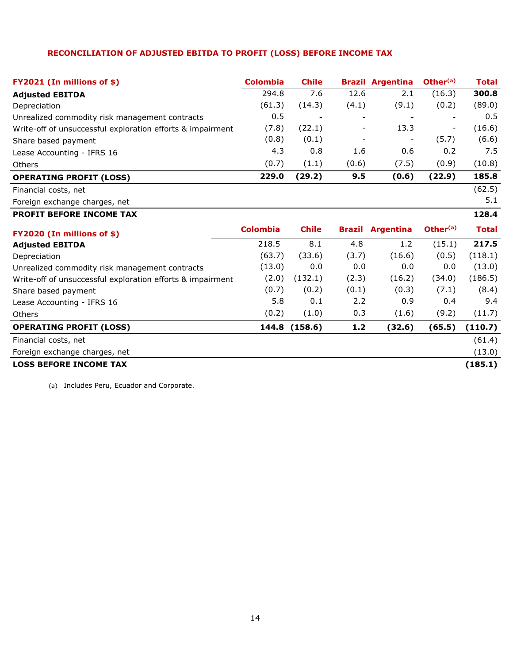# **RECONCILIATION OF ADJUSTED EBITDA TO PROFIT (LOSS) BEFORE INCOME TAX**

| FY2021 (In millions of \$)                                 | <b>Colombia</b> | <b>Chile</b>  |                          | <b>Brazil Argentina</b>  | Other <sup>(a)</sup>     | <b>Total</b> |
|------------------------------------------------------------|-----------------|---------------|--------------------------|--------------------------|--------------------------|--------------|
| <b>Adjusted EBITDA</b>                                     | 294.8           | 7.6           | 12.6                     | 2.1                      | (16.3)                   | 300.8        |
| Depreciation                                               | (61.3)          | (14.3)        | (4.1)                    | (9.1)                    | (0.2)                    | (89.0)       |
| Unrealized commodity risk management contracts             | 0.5             |               |                          | $\overline{\phantom{a}}$ |                          | 0.5          |
| Write-off of unsuccessful exploration efforts & impairment | (7.8)           | (22.1)        | $\overline{\phantom{a}}$ | 13.3                     | $\overline{\phantom{a}}$ | (16.6)       |
| Share based payment                                        | (0.8)           | (0.1)         | $\overline{\phantom{a}}$ | $\overline{\phantom{a}}$ | (5.7)                    | (6.6)        |
| Lease Accounting - IFRS 16                                 | 4.3             | 0.8           | 1.6                      | 0.6                      | 0.2                      | 7.5          |
| Others                                                     | (0.7)           | (1.1)         | (0.6)                    | (7.5)                    | (0.9)                    | (10.8)       |
| <b>OPERATING PROFIT (LOSS)</b>                             | 229.0           | (29.2)        | 9.5                      | (0.6)                    | (22.9)                   | 185.8        |
| Financial costs, net                                       |                 |               |                          |                          |                          | (62.5)       |
| Foreign exchange charges, net                              |                 |               |                          |                          |                          | 5.1          |
| <b>PROFIT BEFORE INCOME TAX</b>                            |                 |               |                          |                          |                          | 128.4        |
| FY2020 (In millions of \$)                                 | <b>Colombia</b> | <b>Chile</b>  |                          | <b>Brazil Argentina</b>  | Other <sup>(a)</sup>     | <b>Total</b> |
| <b>Adjusted EBITDA</b>                                     | 218.5           | 8.1           | 4.8                      | 1.2                      | (15.1)                   | 217.5        |
| Depreciation                                               | (63.7)          | (33.6)        | (3.7)                    | (16.6)                   | (0.5)                    | (118.1)      |
| Unrealized commodity risk management contracts             | (13.0)          | 0.0           | 0.0                      | 0.0                      | 0.0                      | (13.0)       |
| Write-off of unsuccessful exploration efforts & impairment | (2.0)           | (132.1)       | (2.3)                    | (16.2)                   | (34.0)                   | (186.5)      |
| Share based payment                                        | (0.7)           | (0.2)         | (0.1)                    | (0.3)                    | (7.1)                    | (8.4)        |
| Lease Accounting - IFRS 16                                 | 5.8             | 0.1           | 2.2                      | 0.9                      | 0.4                      | 9.4          |
| Others                                                     | (0.2)           | (1.0)         | 0.3                      | (1.6)                    | (9.2)                    | (11.7)       |
| <b>OPERATING PROFIT (LOSS)</b>                             |                 | 144.8 (158.6) | $1.2$                    | (32.6)                   | (65.5)                   | (110.7)      |
| Financial costs, net                                       |                 |               |                          |                          |                          | (61.4)       |
| Foreign exchange charges, net                              |                 |               |                          |                          |                          | (13.0)       |
| <b>LOSS BEFORE INCOME TAX</b>                              |                 |               |                          |                          |                          | (185.1)      |

(a) Includes Peru, Ecuador and Corporate.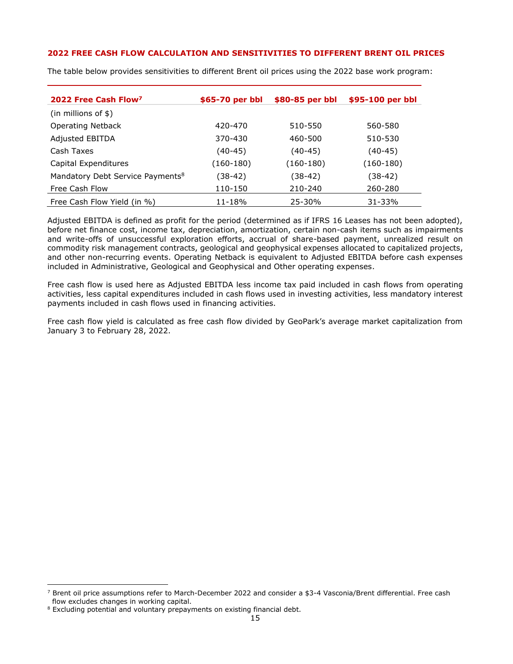# **2022 FREE CASH FLOW CALCULATION AND SENSITIVITIES TO DIFFERENT BRENT OIL PRICES**

| 2022 Free Cash Flow <sup>7</sup>             | \$65-70 per bbl | \$80-85 per bbl | \$95-100 per bbl |
|----------------------------------------------|-----------------|-----------------|------------------|
| (in millions of $$$ )                        |                 |                 |                  |
| <b>Operating Netback</b>                     | 420-470         | 510-550         | 560-580          |
| Adjusted EBITDA                              | 370-430         | 460-500         | 510-530          |
| Cash Taxes                                   | (40-45)         | (40-45)         | (40-45)          |
| Capital Expenditures                         | (160-180)       | (160-180)       | $(160-180)$      |
| Mandatory Debt Service Payments <sup>8</sup> | (38-42)         | (38-42)         | (38-42)          |
| Free Cash Flow                               | 110-150         | 210-240         | 260-280          |
| Free Cash Flow Yield (in %)                  | 11-18%          | 25-30%          | $31 - 33%$       |

The table below provides sensitivities to different Brent oil prices using the 2022 base work program:

Adjusted EBITDA is defined as profit for the period (determined as if IFRS 16 Leases has not been adopted), before net finance cost, income tax, depreciation, amortization, certain non-cash items such as impairments and write-offs of unsuccessful exploration efforts, accrual of share-based payment, unrealized result on commodity risk management contracts, geological and geophysical expenses allocated to capitalized projects, and other non-recurring events. Operating Netback is equivalent to Adjusted EBITDA before cash expenses included in Administrative, Geological and Geophysical and Other operating expenses.

Free cash flow is used here as Adjusted EBITDA less income tax paid included in cash flows from operating activities, less capital expenditures included in cash flows used in investing activities, less mandatory interest payments included in cash flows used in financing activities.

Free cash flow yield is calculated as free cash flow divided by GeoPark's average market capitalization from January 3 to February 28, 2022.

 $7$  Brent oil price assumptions refer to March-December 2022 and consider a \$3-4 Vasconia/Brent differential. Free cash flow excludes changes in working capital.

<sup>&</sup>lt;sup>8</sup> Excluding potential and voluntary prepayments on existing financial debt.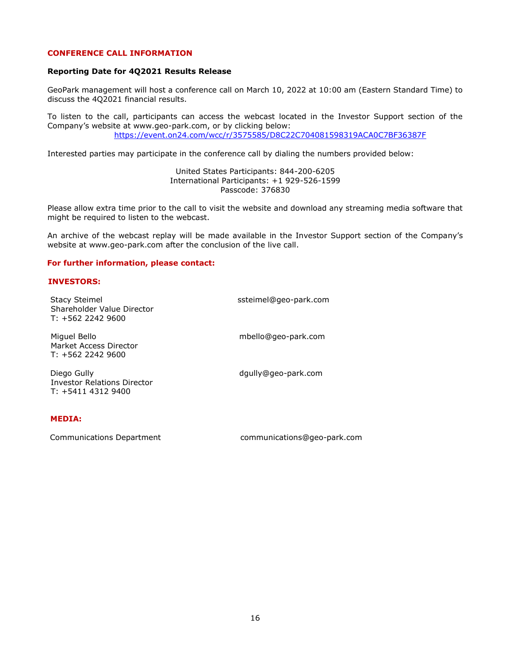# **CONFERENCE CALL INFORMATION**

### **Reporting Date for 4Q2021 Results Release**

GeoPark management will host a conference call on March 10, 2022 at 10:00 am (Eastern Standard Time) to discuss the 4Q2021 financial results.

To listen to the call, participants can access the webcast located in the Investor Support section of the Company's website at [www.geo-park.com,](http://www.geo-park.com/) or by clicking below: <https://event.on24.com/wcc/r/3575585/D8C22C704081598319ACA0C7BF36387F>

Interested parties may participate in the conference call by dialing the numbers provided below:

United States Participants: 844-200-6205 International Participants: +1 929-526-1599 Passcode: 376830

Please allow extra time prior to the call to visit the website and download any streaming media software that might be required to listen to the webcast.

An archive of the webcast replay will be made available in the Investor Support section of the Company's website at www.geo-park.com after the conclusion of the live call.

# **For further information, please contact:**

## **INVESTORS:**

| <b>Stacy Steimel</b><br>Shareholder Value Director<br>$T: +56222429600$ | ssteimel@geo-park.com |
|-------------------------------------------------------------------------|-----------------------|
| Miguel Bello<br>Market Access Director<br>$T: +56222429600$             | mbello@geo-park.com   |
| Diego Gully<br><b>Investor Relations Director</b><br>$T: +541143129400$ | dgully@geo-park.com   |

## **MEDIA:**

Communications Department communications@geo-park.com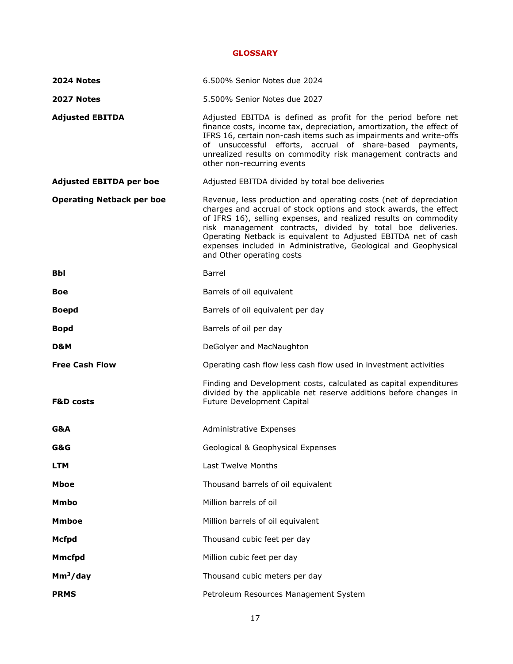# **GLOSSARY**

| <b>2024 Notes</b>                | 6.500% Senior Notes due 2024                                                                                                                                                                                                                                                                                                                                                                                                                |
|----------------------------------|---------------------------------------------------------------------------------------------------------------------------------------------------------------------------------------------------------------------------------------------------------------------------------------------------------------------------------------------------------------------------------------------------------------------------------------------|
| 2027 Notes                       | 5.500% Senior Notes due 2027                                                                                                                                                                                                                                                                                                                                                                                                                |
| <b>Adjusted EBITDA</b>           | Adjusted EBITDA is defined as profit for the period before net<br>finance costs, income tax, depreciation, amortization, the effect of<br>IFRS 16, certain non-cash items such as impairments and write-offs<br>of unsuccessful efforts, accrual of share-based payments,<br>unrealized results on commodity risk management contracts and<br>other non-recurring events                                                                    |
| <b>Adjusted EBITDA per boe</b>   | Adjusted EBITDA divided by total boe deliveries                                                                                                                                                                                                                                                                                                                                                                                             |
| <b>Operating Netback per boe</b> | Revenue, less production and operating costs (net of depreciation<br>charges and accrual of stock options and stock awards, the effect<br>of IFRS 16), selling expenses, and realized results on commodity<br>risk management contracts, divided by total boe deliveries.<br>Operating Netback is equivalent to Adjusted EBITDA net of cash<br>expenses included in Administrative, Geological and Geophysical<br>and Other operating costs |
| <b>Bbl</b>                       | Barrel                                                                                                                                                                                                                                                                                                                                                                                                                                      |
| <b>Boe</b>                       | Barrels of oil equivalent                                                                                                                                                                                                                                                                                                                                                                                                                   |
| <b>Boepd</b>                     | Barrels of oil equivalent per day                                                                                                                                                                                                                                                                                                                                                                                                           |
| <b>Bopd</b>                      | Barrels of oil per day                                                                                                                                                                                                                                                                                                                                                                                                                      |
| D&M                              | DeGolyer and MacNaughton                                                                                                                                                                                                                                                                                                                                                                                                                    |
| <b>Free Cash Flow</b>            | Operating cash flow less cash flow used in investment activities                                                                                                                                                                                                                                                                                                                                                                            |
| <b>F&amp;D</b> costs             | Finding and Development costs, calculated as capital expenditures<br>divided by the applicable net reserve additions before changes in<br>Future Development Capital                                                                                                                                                                                                                                                                        |
| G&A                              | Administrative Expenses                                                                                                                                                                                                                                                                                                                                                                                                                     |
| G&G                              | Geological & Geophysical Expenses                                                                                                                                                                                                                                                                                                                                                                                                           |
| <b>LTM</b>                       | Last Twelve Months                                                                                                                                                                                                                                                                                                                                                                                                                          |
| Mboe                             | Thousand barrels of oil equivalent                                                                                                                                                                                                                                                                                                                                                                                                          |
| <b>Mmbo</b>                      | Million barrels of oil                                                                                                                                                                                                                                                                                                                                                                                                                      |
| <b>Mmboe</b>                     | Million barrels of oil equivalent                                                                                                                                                                                                                                                                                                                                                                                                           |
| <b>Mcfpd</b>                     | Thousand cubic feet per day                                                                                                                                                                                                                                                                                                                                                                                                                 |
| <b>Mmcfpd</b>                    | Million cubic feet per day                                                                                                                                                                                                                                                                                                                                                                                                                  |
| Mm <sup>3</sup> /day             | Thousand cubic meters per day                                                                                                                                                                                                                                                                                                                                                                                                               |
| <b>PRMS</b>                      | Petroleum Resources Management System                                                                                                                                                                                                                                                                                                                                                                                                       |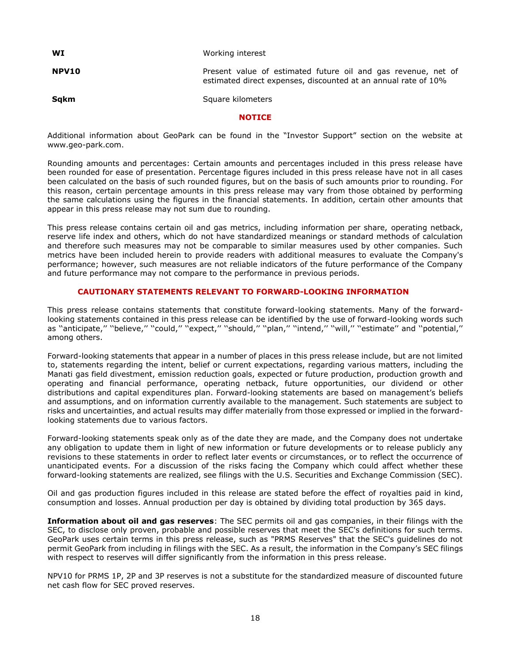| WI    | Working interest                                                                                                                |
|-------|---------------------------------------------------------------------------------------------------------------------------------|
| NPV10 | Present value of estimated future oil and gas revenue, net of<br>estimated direct expenses, discounted at an annual rate of 10% |
| Sqkm  | Square kilometers                                                                                                               |

**NOTICE**

Additional information about GeoPark can be found in the "Investor Support" section on the website at www.geo-park.com.

Rounding amounts and percentages: Certain amounts and percentages included in this press release have been rounded for ease of presentation. Percentage figures included in this press release have not in all cases been calculated on the basis of such rounded figures, but on the basis of such amounts prior to rounding. For this reason, certain percentage amounts in this press release may vary from those obtained by performing the same calculations using the figures in the financial statements. In addition, certain other amounts that appear in this press release may not sum due to rounding.

This press release contains certain oil and gas metrics, including information per share, operating netback, reserve life index and others, which do not have standardized meanings or standard methods of calculation and therefore such measures may not be comparable to similar measures used by other companies. Such metrics have been included herein to provide readers with additional measures to evaluate the Company's performance; however, such measures are not reliable indicators of the future performance of the Company and future performance may not compare to the performance in previous periods.

# **CAUTIONARY STATEMENTS RELEVANT TO FORWARD-LOOKING INFORMATION**

This press release contains statements that constitute forward-looking statements. Many of the forwardlooking statements contained in this press release can be identified by the use of forward-looking words such as ''anticipate,'' ''believe,'' ''could,'' ''expect,'' ''should,'' ''plan,'' ''intend,'' ''will,'' ''estimate'' and ''potential,'' among others.

Forward-looking statements that appear in a number of places in this press release include, but are not limited to, statements regarding the intent, belief or current expectations, regarding various matters, including the Manati gas field divestment, emission reduction goals, expected or future production, production growth and operating and financial performance, operating netback, future opportunities, our dividend or other distributions and capital expenditures plan. Forward-looking statements are based on management's beliefs and assumptions, and on information currently available to the management. Such statements are subject to risks and uncertainties, and actual results may differ materially from those expressed or implied in the forwardlooking statements due to various factors.

Forward-looking statements speak only as of the date they are made, and the Company does not undertake any obligation to update them in light of new information or future developments or to release publicly any revisions to these statements in order to reflect later events or circumstances, or to reflect the occurrence of unanticipated events. For a discussion of the risks facing the Company which could affect whether these forward-looking statements are realized, see filings with the U.S. Securities and Exchange Commission (SEC).

Oil and gas production figures included in this release are stated before the effect of royalties paid in kind, consumption and losses. Annual production per day is obtained by dividing total production by 365 days.

**Information about oil and gas reserves**: The SEC permits oil and gas companies, in their filings with the SEC, to disclose only proven, probable and possible reserves that meet the SEC's definitions for such terms. GeoPark uses certain terms in this press release, such as "PRMS Reserves" that the SEC's guidelines do not permit GeoPark from including in filings with the SEC. As a result, the information in the Company's SEC filings with respect to reserves will differ significantly from the information in this press release.

NPV10 for PRMS 1P, 2P and 3P reserves is not a substitute for the standardized measure of discounted future net cash flow for SEC proved reserves.